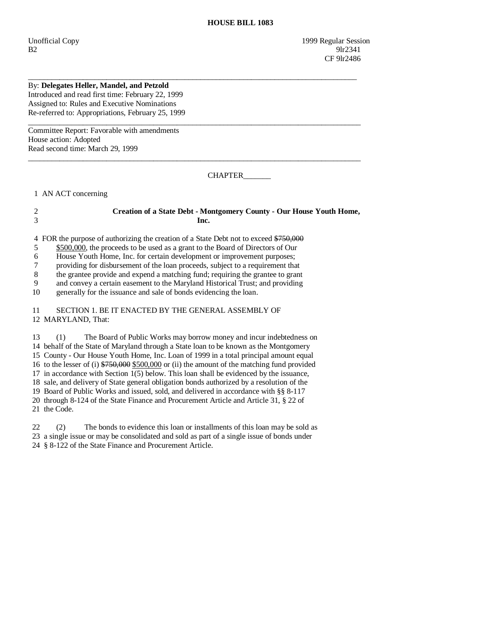## By: **Delegates Heller, Mandel, and Petzold**

Introduced and read first time: February 22, 1999 Assigned to: Rules and Executive Nominations Re-referred to: Appropriations, February 25, 1999

Committee Report: Favorable with amendments House action: Adopted Read second time: March 29, 1999

CHAPTER\_\_\_\_\_\_\_

1 AN ACT concerning

## 2 **Creation of a State Debt - Montgomery County - Our House Youth Home,**  3 **Inc.**

\_\_\_\_\_\_\_\_\_\_\_\_\_\_\_\_\_\_\_\_\_\_\_\_\_\_\_\_\_\_\_\_\_\_\_\_\_\_\_\_\_\_\_\_\_\_\_\_\_\_\_\_\_\_\_\_\_\_\_\_\_\_\_\_\_\_\_\_\_\_\_\_\_\_\_\_\_\_\_\_\_\_\_\_

 $\_$  ,  $\_$  ,  $\_$  ,  $\_$  ,  $\_$  ,  $\_$  ,  $\_$  ,  $\_$  ,  $\_$  ,  $\_$  ,  $\_$  ,  $\_$  ,  $\_$  ,  $\_$  ,  $\_$  ,  $\_$  ,  $\_$  ,  $\_$  ,  $\_$  ,  $\_$  ,  $\_$  ,  $\_$  ,  $\_$  ,  $\_$  ,  $\_$  ,  $\_$  ,  $\_$  ,  $\_$  ,  $\_$  ,  $\_$  ,  $\_$  ,  $\_$  ,  $\_$  ,  $\_$  ,  $\_$  ,  $\_$  ,  $\_$  ,

 $\_$  ,  $\_$  ,  $\_$  ,  $\_$  ,  $\_$  ,  $\_$  ,  $\_$  ,  $\_$  ,  $\_$  ,  $\_$  ,  $\_$  ,  $\_$  ,  $\_$  ,  $\_$  ,  $\_$  ,  $\_$  ,  $\_$  ,  $\_$  ,  $\_$  ,  $\_$  ,  $\_$  ,  $\_$  ,  $\_$  ,  $\_$  ,  $\_$  ,  $\_$  ,  $\_$  ,  $\_$  ,  $\_$  ,  $\_$  ,  $\_$  ,  $\_$  ,  $\_$  ,  $\_$  ,  $\_$  ,  $\_$  ,  $\_$  ,

4 FOR the purpose of authorizing the creation of a State Debt not to exceed \$750,000

5 \$500,000, the proceeds to be used as a grant to the Board of Directors of Our

6 House Youth Home, Inc. for certain development or improvement purposes;

7 providing for disbursement of the loan proceeds, subject to a requirement that

 8 the grantee provide and expend a matching fund; requiring the grantee to grant 9 and convey a certain easement to the Maryland Historical Trust; and providing

10 generally for the issuance and sale of bonds evidencing the loan.

 11 SECTION 1. BE IT ENACTED BY THE GENERAL ASSEMBLY OF 12 MARYLAND, That:

 13 (1) The Board of Public Works may borrow money and incur indebtedness on 14 behalf of the State of Maryland through a State loan to be known as the Montgomery 15 County - Our House Youth Home, Inc. Loan of 1999 in a total principal amount equal 16 to the lesser of (i) \$750,000 \$500,000 or (ii) the amount of the matching fund provided 17 in accordance with Section 1(5) below. This loan shall be evidenced by the issuance, 18 sale, and delivery of State general obligation bonds authorized by a resolution of the 19 Board of Public Works and issued, sold, and delivered in accordance with §§ 8-117 20 through 8-124 of the State Finance and Procurement Article and Article 31, § 22 of 21 the Code.

 22 (2) The bonds to evidence this loan or installments of this loan may be sold as 23 a single issue or may be consolidated and sold as part of a single issue of bonds under 24 § 8-122 of the State Finance and Procurement Article.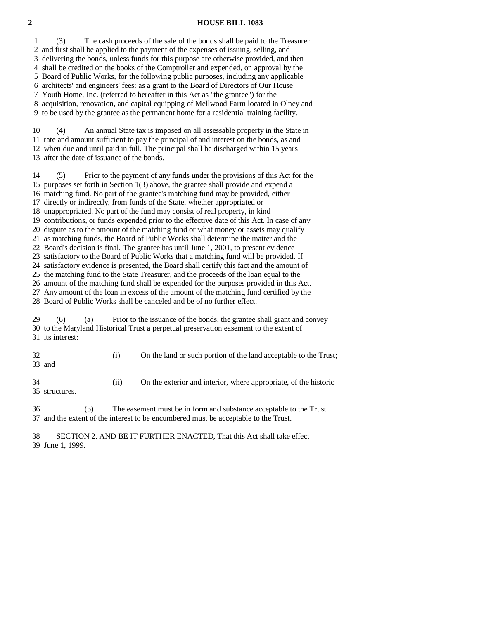## **2 HOUSE BILL 1083**

 1 (3) The cash proceeds of the sale of the bonds shall be paid to the Treasurer 2 and first shall be applied to the payment of the expenses of issuing, selling, and 3 delivering the bonds, unless funds for this purpose are otherwise provided, and then 4 shall be credited on the books of the Comptroller and expended, on approval by the 5 Board of Public Works, for the following public purposes, including any applicable 6 architects' and engineers' fees: as a grant to the Board of Directors of Our House 7 Youth Home, Inc. (referred to hereafter in this Act as "the grantee") for the 8 acquisition, renovation, and capital equipping of Mellwood Farm located in Olney and 9 to be used by the grantee as the permanent home for a residential training facility.

 10 (4) An annual State tax is imposed on all assessable property in the State in 11 rate and amount sufficient to pay the principal of and interest on the bonds, as and 12 when due and until paid in full. The principal shall be discharged within 15 years 13 after the date of issuance of the bonds.

 14 (5) Prior to the payment of any funds under the provisions of this Act for the 15 purposes set forth in Section 1(3) above, the grantee shall provide and expend a 16 matching fund. No part of the grantee's matching fund may be provided, either 17 directly or indirectly, from funds of the State, whether appropriated or 18 unappropriated. No part of the fund may consist of real property, in kind 19 contributions, or funds expended prior to the effective date of this Act. In case of any 20 dispute as to the amount of the matching fund or what money or assets may qualify 21 as matching funds, the Board of Public Works shall determine the matter and the 22 Board's decision is final. The grantee has until June 1, 2001, to present evidence 23 satisfactory to the Board of Public Works that a matching fund will be provided. If 24 satisfactory evidence is presented, the Board shall certify this fact and the amount of 25 the matching fund to the State Treasurer, and the proceeds of the loan equal to the 26 amount of the matching fund shall be expended for the purposes provided in this Act. 27 Any amount of the loan in excess of the amount of the matching fund certified by the 28 Board of Public Works shall be canceled and be of no further effect. 29 (6) (a) Prior to the issuance of the bonds, the grantee shall grant and convey 30 to the Maryland Historical Trust a perpetual preservation easement to the extent of 31 its interest:

| 32<br>33 and          | (1) | On the land or such portion of the land acceptable to the Trust; |
|-----------------------|-----|------------------------------------------------------------------|
| -34<br>35 structures. | (i) | On the exterior and interior, where appropriate, of the historic |

 36 (b) The easement must be in form and substance acceptable to the Trust 37 and the extent of the interest to be encumbered must be acceptable to the Trust.

 38 SECTION 2. AND BE IT FURTHER ENACTED, That this Act shall take effect 39 June 1, 1999.